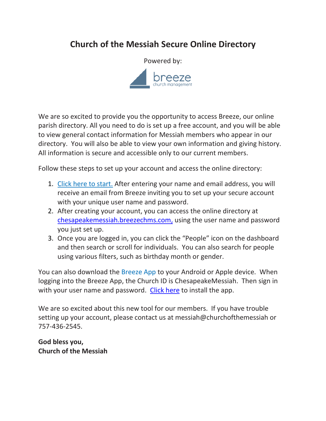## **Church of the Messiah Secure Online Directory**



We are so excited to provide you the opportunity to access Breeze, our online parish directory. All you need to do is set up a free account, and you will be able to view general contact information for Messiah members who appear in our directory. You will also be able to view your own information and giving history. All information is secure and accessible only to our current members.

Follow these steps to set up your account and access the online directory:

- 1. Click here [to start.](https://chesapeakemessiah.breezechms.com/login/create) After entering your name and email address, you will receive an email from Breeze inviting you to set up your secure account with your unique user name and password.
- 2. After creating your account, you can access the online directory at [chesapeakemessiah.breezechms.com,](file://///NAS14645F/Public/Messiah/Messiah-Folders/Pub-Folder/Breeze%20&%20Database/Online%20Directory/chesapeakemessiah.breezechms.com) using the user name and password you just set up.
- 3. Once you are logged in, you can click the "People" icon on the dashboard and then search or scroll for individuals. You can also search for people using various filters, such as birthday month or gender.

You can also download the [Breeze App](https://app.breezechms.com/app) to your Android or Apple device. When logging into the Breeze App, the Church ID is ChesapeakeMessiah. Then sign in with your user name and password. [Click here](https://app.breezechms.com/app) to install the app.

We are so excited about this new tool for our members. If you have trouble setting up your account, please contact us at messiah@churchofthemessiah or 757-436-2545.

**God bless you, Church of the Messiah**